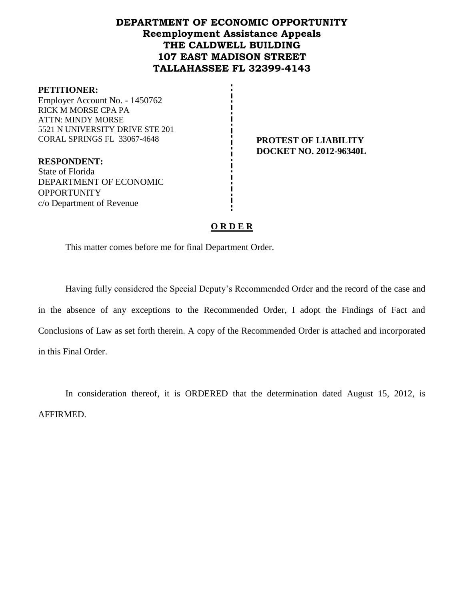# **DEPARTMENT OF ECONOMIC OPPORTUNITY Reemployment Assistance Appeals THE CALDWELL BUILDING 107 EAST MADISON STREET TALLAHASSEE FL 32399-4143**

#### **PETITIONER:**

Employer Account No. - 1450762 RICK M MORSE CPA PA ATTN: MINDY MORSE 5521 N UNIVERSITY DRIVE STE 201 CORAL SPRINGS FL 33067-4648 **PROTEST OF LIABILITY**

**DOCKET NO. 2012-96340L**

**RESPONDENT:** State of Florida DEPARTMENT OF ECONOMIC **OPPORTUNITY** c/o Department of Revenue

### **O R D E R**

This matter comes before me for final Department Order.

Having fully considered the Special Deputy's Recommended Order and the record of the case and in the absence of any exceptions to the Recommended Order, I adopt the Findings of Fact and Conclusions of Law as set forth therein. A copy of the Recommended Order is attached and incorporated in this Final Order.

In consideration thereof, it is ORDERED that the determination dated August 15, 2012, is AFFIRMED.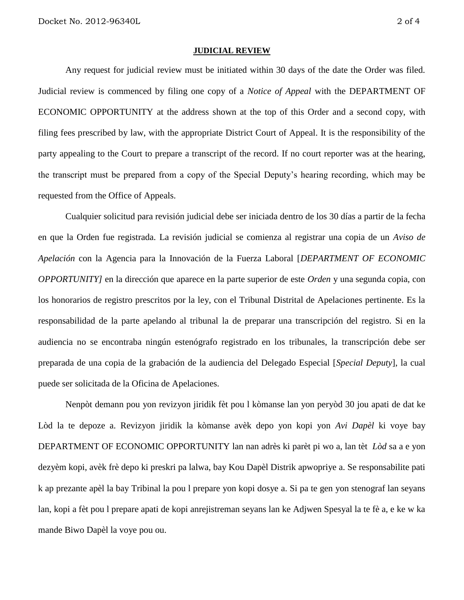#### **JUDICIAL REVIEW**

Any request for judicial review must be initiated within 30 days of the date the Order was filed. Judicial review is commenced by filing one copy of a *Notice of Appeal* with the DEPARTMENT OF ECONOMIC OPPORTUNITY at the address shown at the top of this Order and a second copy, with filing fees prescribed by law, with the appropriate District Court of Appeal. It is the responsibility of the party appealing to the Court to prepare a transcript of the record. If no court reporter was at the hearing, the transcript must be prepared from a copy of the Special Deputy's hearing recording, which may be requested from the Office of Appeals.

Cualquier solicitud para revisión judicial debe ser iniciada dentro de los 30 días a partir de la fecha en que la Orden fue registrada. La revisión judicial se comienza al registrar una copia de un *Aviso de Apelación* con la Agencia para la Innovación de la Fuerza Laboral [*DEPARTMENT OF ECONOMIC OPPORTUNITY]* en la dirección que aparece en la parte superior de este *Orden* y una segunda copia, con los honorarios de registro prescritos por la ley, con el Tribunal Distrital de Apelaciones pertinente. Es la responsabilidad de la parte apelando al tribunal la de preparar una transcripción del registro. Si en la audiencia no se encontraba ningún estenógrafo registrado en los tribunales, la transcripción debe ser preparada de una copia de la grabación de la audiencia del Delegado Especial [*Special Deputy*], la cual puede ser solicitada de la Oficina de Apelaciones.

Nenpòt demann pou yon revizyon jiridik fèt pou l kòmanse lan yon peryòd 30 jou apati de dat ke Lòd la te depoze a. Revizyon jiridik la kòmanse avèk depo yon kopi yon *Avi Dapèl* ki voye bay DEPARTMENT OF ECONOMIC OPPORTUNITY lan nan adrès ki parèt pi wo a, lan tèt *Lòd* sa a e yon dezyèm kopi, avèk frè depo ki preskri pa lalwa, bay Kou Dapèl Distrik apwopriye a. Se responsabilite pati k ap prezante apèl la bay Tribinal la pou l prepare yon kopi dosye a. Si pa te gen yon stenograf lan seyans lan, kopi a fèt pou l prepare apati de kopi anrejistreman seyans lan ke Adjwen Spesyal la te fè a, e ke w ka mande Biwo Dapèl la voye pou ou.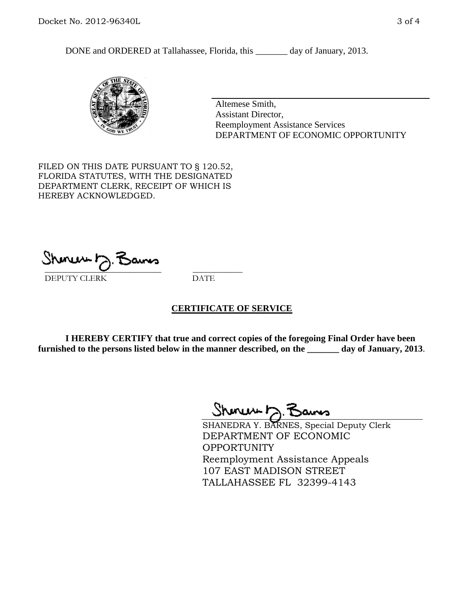DONE and ORDERED at Tallahassee, Florida, this \_\_\_\_\_\_\_ day of January, 2013.



Altemese Smith, Assistant Director, Reemployment Assistance Services DEPARTMENT OF ECONOMIC OPPORTUNITY

FILED ON THIS DATE PURSUANT TO § 120.52, FLORIDA STATUTES, WITH THE DESIGNATED DEPARTMENT CLERK, RECEIPT OF WHICH IS HEREBY ACKNOWLEDGED.

 $\overline{\phantom{a}}$  ,  $\overline{\phantom{a}}$  ,  $\overline{\phantom{a}}$  ,  $\overline{\phantom{a}}$  ,  $\overline{\phantom{a}}$  ,  $\overline{\phantom{a}}$  ,  $\overline{\phantom{a}}$  ,  $\overline{\phantom{a}}$ DEPUTY CLERK DATE

## **CERTIFICATE OF SERVICE**

**I HEREBY CERTIFY that true and correct copies of the foregoing Final Order have been furnished to the persons listed below in the manner described, on the \_\_\_\_\_\_\_ day of January, 2013**.

 $Shmum \sim 7$ 

SHANEDRA Y. BARNES, Special Deputy Clerk DEPARTMENT OF ECONOMIC **OPPORTUNITY** Reemployment Assistance Appeals 107 EAST MADISON STREET TALLAHASSEE FL 32399-4143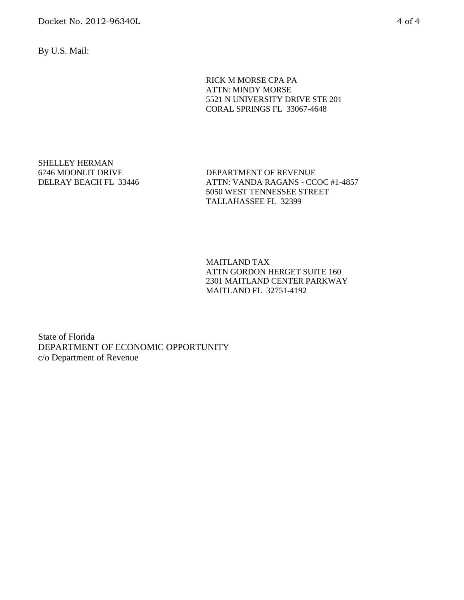Docket No. 2012-96340L 4 of 4

By U.S. Mail:

RICK M MORSE CPA PA ATTN: MINDY MORSE 5521 N UNIVERSITY DRIVE STE 201 CORAL SPRINGS FL 33067-4648

SHELLEY HERMAN 6746 MOONLIT DRIVE DELRAY BEACH FL 33446

DEPARTMENT OF REVENUE ATTN: VANDA RAGANS - CCOC #1-4857 5050 WEST TENNESSEE STREET TALLAHASSEE FL 32399

MAITLAND TAX ATTN GORDON HERGET SUITE 160 2301 MAITLAND CENTER PARKWAY MAITLAND FL 32751-4192

State of Florida DEPARTMENT OF ECONOMIC OPPORTUNITY c/o Department of Revenue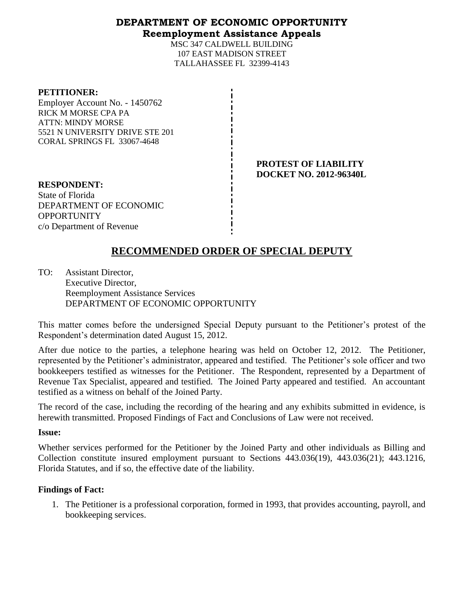## **DEPARTMENT OF ECONOMIC OPPORTUNITY Reemployment Assistance Appeals**

MSC 347 CALDWELL BUILDING 107 EAST MADISON STREET TALLAHASSEE FL 32399-4143

### **PETITIONER:**

Employer Account No. - 1450762 RICK M MORSE CPA PA ATTN: MINDY MORSE 5521 N UNIVERSITY DRIVE STE 201 CORAL SPRINGS FL 33067-4648

> **PROTEST OF LIABILITY DOCKET NO. 2012-96340L**

**RESPONDENT:** State of Florida DEPARTMENT OF ECONOMIC **OPPORTUNITY** c/o Department of Revenue

# **RECOMMENDED ORDER OF SPECIAL DEPUTY**

TO: Assistant Director, Executive Director, Reemployment Assistance Services DEPARTMENT OF ECONOMIC OPPORTUNITY

This matter comes before the undersigned Special Deputy pursuant to the Petitioner's protest of the Respondent's determination dated August 15, 2012.

After due notice to the parties, a telephone hearing was held on October 12, 2012. The Petitioner, represented by the Petitioner's administrator, appeared and testified. The Petitioner's sole officer and two bookkeepers testified as witnesses for the Petitioner. The Respondent, represented by a Department of Revenue Tax Specialist, appeared and testified. The Joined Party appeared and testified. An accountant testified as a witness on behalf of the Joined Party.

The record of the case, including the recording of the hearing and any exhibits submitted in evidence, is herewith transmitted. Proposed Findings of Fact and Conclusions of Law were not received.

### **Issue:**

Whether services performed for the Petitioner by the Joined Party and other individuals as Billing and Collection constitute insured employment pursuant to Sections 443.036(19), 443.036(21); 443.1216, Florida Statutes, and if so, the effective date of the liability.

## **Findings of Fact:**

1. The Petitioner is a professional corporation, formed in 1993, that provides accounting, payroll, and bookkeeping services.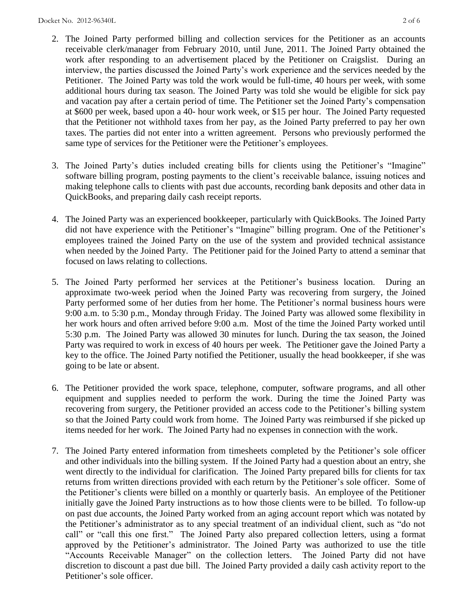- 2. The Joined Party performed billing and collection services for the Petitioner as an accounts receivable clerk/manager from February 2010, until June, 2011. The Joined Party obtained the work after responding to an advertisement placed by the Petitioner on Craigslist. During an interview, the parties discussed the Joined Party's work experience and the services needed by the Petitioner. The Joined Party was told the work would be full-time, 40 hours per week, with some additional hours during tax season. The Joined Party was told she would be eligible for sick pay and vacation pay after a certain period of time. The Petitioner set the Joined Party's compensation at \$600 per week, based upon a 40- hour work week, or \$15 per hour. The Joined Party requested that the Petitioner not withhold taxes from her pay, as the Joined Party preferred to pay her own taxes. The parties did not enter into a written agreement. Persons who previously performed the same type of services for the Petitioner were the Petitioner's employees.
- 3. The Joined Party's duties included creating bills for clients using the Petitioner's "Imagine" software billing program, posting payments to the client's receivable balance, issuing notices and making telephone calls to clients with past due accounts, recording bank deposits and other data in QuickBooks, and preparing daily cash receipt reports.
- 4. The Joined Party was an experienced bookkeeper, particularly with QuickBooks. The Joined Party did not have experience with the Petitioner's "Imagine" billing program. One of the Petitioner's employees trained the Joined Party on the use of the system and provided technical assistance when needed by the Joined Party. The Petitioner paid for the Joined Party to attend a seminar that focused on laws relating to collections.
- 5. The Joined Party performed her services at the Petitioner's business location. During an approximate two-week period when the Joined Party was recovering from surgery, the Joined Party performed some of her duties from her home. The Petitioner's normal business hours were 9:00 a.m. to 5:30 p.m., Monday through Friday. The Joined Party was allowed some flexibility in her work hours and often arrived before 9:00 a.m. Most of the time the Joined Party worked until 5:30 p.m. The Joined Party was allowed 30 minutes for lunch. During the tax season, the Joined Party was required to work in excess of 40 hours per week. The Petitioner gave the Joined Party a key to the office. The Joined Party notified the Petitioner, usually the head bookkeeper, if she was going to be late or absent.
- 6. The Petitioner provided the work space, telephone, computer, software programs, and all other equipment and supplies needed to perform the work. During the time the Joined Party was recovering from surgery, the Petitioner provided an access code to the Petitioner's billing system so that the Joined Party could work from home. The Joined Party was reimbursed if she picked up items needed for her work. The Joined Party had no expenses in connection with the work.
- 7. The Joined Party entered information from timesheets completed by the Petitioner's sole officer and other individuals into the billing system. If the Joined Party had a question about an entry, she went directly to the individual for clarification. The Joined Party prepared bills for clients for tax returns from written directions provided with each return by the Petitioner's sole officer. Some of the Petitioner's clients were billed on a monthly or quarterly basis. An employee of the Petitioner initially gave the Joined Party instructions as to how those clients were to be billed. To follow-up on past due accounts, the Joined Party worked from an aging account report which was notated by the Petitioner's administrator as to any special treatment of an individual client, such as "do not call" or "call this one first." The Joined Party also prepared collection letters, using a format approved by the Petitioner's administrator. The Joined Party was authorized to use the title "Accounts Receivable Manager" on the collection letters. The Joined Party did not have discretion to discount a past due bill. The Joined Party provided a daily cash activity report to the Petitioner's sole officer.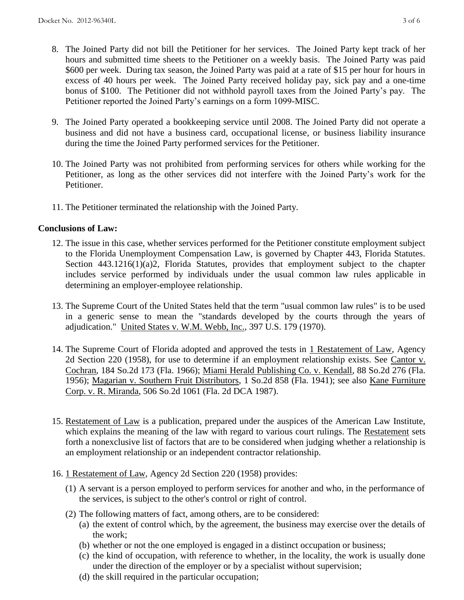- 8. The Joined Party did not bill the Petitioner for her services. The Joined Party kept track of her hours and submitted time sheets to the Petitioner on a weekly basis. The Joined Party was paid \$600 per week. During tax season, the Joined Party was paid at a rate of \$15 per hour for hours in excess of 40 hours per week.The Joined Party received holiday pay, sick pay and a one-time bonus of \$100. The Petitioner did not withhold payroll taxes from the Joined Party's pay. The Petitioner reported the Joined Party's earnings on a form 1099-MISC.
- 9. The Joined Party operated a bookkeeping service until 2008. The Joined Party did not operate a business and did not have a business card, occupational license, or business liability insurance during the time the Joined Party performed services for the Petitioner.
- 10. The Joined Party was not prohibited from performing services for others while working for the Petitioner, as long as the other services did not interfere with the Joined Party's work for the Petitioner.
- 11. The Petitioner terminated the relationship with the Joined Party.

## **Conclusions of Law:**

- 12. The issue in this case, whether services performed for the Petitioner constitute employment subject to the Florida Unemployment Compensation Law, is governed by Chapter 443, Florida Statutes. Section 443.1216(1)(a)2, Florida Statutes, provides that employment subject to the chapter includes service performed by individuals under the usual common law rules applicable in determining an employer-employee relationship.
- 13. The Supreme Court of the United States held that the term "usual common law rules" is to be used in a generic sense to mean the "standards developed by the courts through the years of adjudication." United States v. W.M. Webb, Inc., 397 U.S. 179 (1970).
- 14. The Supreme Court of Florida adopted and approved the tests in 1 Restatement of Law, Agency 2d Section 220 (1958), for use to determine if an employment relationship exists. See Cantor v. Cochran, 184 So.2d 173 (Fla. 1966); Miami Herald Publishing Co. v. Kendall, 88 So.2d 276 (Fla. 1956); Magarian v. Southern Fruit Distributors, 1 So.2d 858 (Fla. 1941); see also Kane Furniture Corp. v. R. Miranda, 506 So.2d 1061 (Fla. 2d DCA 1987).
- 15. Restatement of Law is a publication, prepared under the auspices of the American Law Institute, which explains the meaning of the law with regard to various court rulings. The Restatement sets forth a nonexclusive list of factors that are to be considered when judging whether a relationship is an employment relationship or an independent contractor relationship.
- 16. 1 Restatement of Law, Agency 2d Section 220 (1958) provides:
	- (1) A servant is a person employed to perform services for another and who, in the performance of the services, is subject to the other's control or right of control.
	- (2) The following matters of fact, among others, are to be considered:
		- (a) the extent of control which, by the agreement, the business may exercise over the details of the work;
		- (b) whether or not the one employed is engaged in a distinct occupation or business;
		- (c) the kind of occupation, with reference to whether, in the locality, the work is usually done under the direction of the employer or by a specialist without supervision;
		- (d) the skill required in the particular occupation;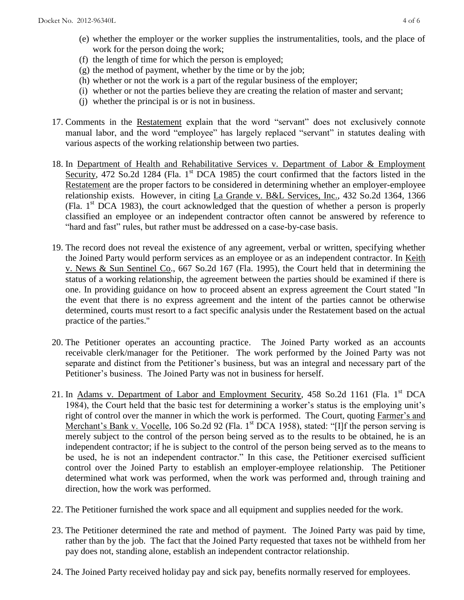- (e) whether the employer or the worker supplies the instrumentalities, tools, and the place of work for the person doing the work;
- (f) the length of time for which the person is employed;
- (g) the method of payment, whether by the time or by the job;
- (h) whether or not the work is a part of the regular business of the employer;
- (i) whether or not the parties believe they are creating the relation of master and servant;
- (j) whether the principal is or is not in business.
- 17. Comments in the Restatement explain that the word "servant" does not exclusively connote manual labor, and the word "employee" has largely replaced "servant" in statutes dealing with various aspects of the working relationship between two parties.
- 18. In Department of Health and Rehabilitative Services v. Department of Labor & Employment Security, 472 So.2d 1284 (Fla. 1<sup>st</sup> DCA 1985) the court confirmed that the factors listed in the Restatement are the proper factors to be considered in determining whether an employer-employee relationship exists. However, in citing La Grande v. B&L Services, Inc., 432 So.2d 1364, 1366 (Fla. 1st DCA 1983), the court acknowledged that the question of whether a person is properly classified an employee or an independent contractor often cannot be answered by reference to "hard and fast" rules, but rather must be addressed on a case-by-case basis.
- 19. The record does not reveal the existence of any agreement, verbal or written, specifying whether the Joined Party would perform services as an employee or as an independent contractor. In Keith v. News & Sun Sentinel Co., 667 So.2d 167 (Fla. 1995), the Court held that in determining the status of a working relationship, the agreement between the parties should be examined if there is one. In providing guidance on how to proceed absent an express agreement the Court stated "In the event that there is no express agreement and the intent of the parties cannot be otherwise determined, courts must resort to a fact specific analysis under the Restatement based on the actual practice of the parties."
- 20. The Petitioner operates an accounting practice. The Joined Party worked as an accounts receivable clerk/manager for the Petitioner. The work performed by the Joined Party was not separate and distinct from the Petitioner's business, but was an integral and necessary part of the Petitioner's business. The Joined Party was not in business for herself.
- 21. In Adams v. Department of Labor and Employment Security, 458 So.2d 1161 (Fla. 1<sup>st</sup> DCA 1984), the Court held that the basic test for determining a worker's status is the employing unit's right of control over the manner in which the work is performed. The Court, quoting Farmer's and Merchant's Bank v. Vocelle, 106 So.2d 92 (Fla. 1<sup>st</sup> DCA 1958), stated: "[I]f the person serving is merely subject to the control of the person being served as to the results to be obtained, he is an independent contractor; if he is subject to the control of the person being served as to the means to be used, he is not an independent contractor." In this case, the Petitioner exercised sufficient control over the Joined Party to establish an employer-employee relationship. The Petitioner determined what work was performed, when the work was performed and, through training and direction, how the work was performed.
- 22. The Petitioner furnished the work space and all equipment and supplies needed for the work.
- 23. The Petitioner determined the rate and method of payment. The Joined Party was paid by time, rather than by the job. The fact that the Joined Party requested that taxes not be withheld from her pay does not, standing alone, establish an independent contractor relationship.
- 24. The Joined Party received holiday pay and sick pay, benefits normally reserved for employees.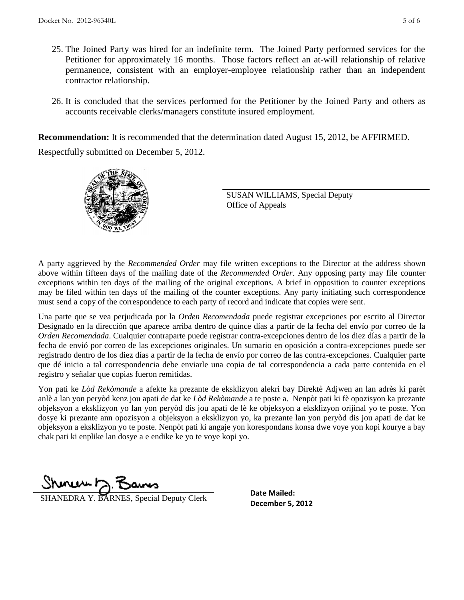- 25. The Joined Party was hired for an indefinite term. The Joined Party performed services for the Petitioner for approximately 16 months. Those factors reflect an at-will relationship of relative permanence, consistent with an employer-employee relationship rather than an independent contractor relationship.
- 26. It is concluded that the services performed for the Petitioner by the Joined Party and others as accounts receivable clerks/managers constitute insured employment.

**Recommendation:** It is recommended that the determination dated August 15, 2012, be AFFIRMED.

Respectfully submitted on December 5, 2012.



SUSAN WILLIAMS, Special Deputy Office of Appeals

A party aggrieved by the *Recommended Order* may file written exceptions to the Director at the address shown above within fifteen days of the mailing date of the *Recommended Order*. Any opposing party may file counter exceptions within ten days of the mailing of the original exceptions. A brief in opposition to counter exceptions may be filed within ten days of the mailing of the counter exceptions. Any party initiating such correspondence must send a copy of the correspondence to each party of record and indicate that copies were sent.

Una parte que se vea perjudicada por la *Orden Recomendada* puede registrar excepciones por escrito al Director Designado en la dirección que aparece arriba dentro de quince días a partir de la fecha del envío por correo de la *Orden Recomendada*. Cualquier contraparte puede registrar contra-excepciones dentro de los diez días a partir de la fecha de envió por correo de las excepciones originales. Un sumario en oposición a contra-excepciones puede ser registrado dentro de los diez días a partir de la fecha de envío por correo de las contra-excepciones. Cualquier parte que dé inicio a tal correspondencia debe enviarle una copia de tal correspondencia a cada parte contenida en el registro y señalar que copias fueron remitidas.

Yon pati ke *Lòd Rekòmande* a afekte ka prezante de eksklizyon alekri bay Direktè Adjwen an lan adrès ki parèt anlè a lan yon peryòd kenz jou apati de dat ke *Lòd Rekòmande* a te poste a. Nenpòt pati ki fè opozisyon ka prezante objeksyon a eksklizyon yo lan yon peryòd dis jou apati de lè ke objeksyon a eksklizyon orijinal yo te poste. Yon dosye ki prezante ann opozisyon a objeksyon a eksklizyon yo, ka prezante lan yon peryòd dis jou apati de dat ke objeksyon a eksklizyon yo te poste. Nenpòt pati ki angaje yon korespondans konsa dwe voye yon kopi kourye a bay chak pati ki enplike lan dosye a e endike ke yo te voye kopi yo.

 $ShmumD$ 

**DECEMBER SHANEDRA Y. BARNES, Special Deputy Clerk** December 5, 2012

**Date Mailed:**